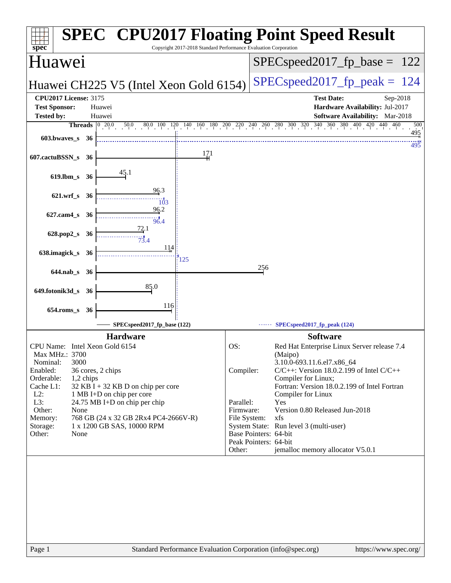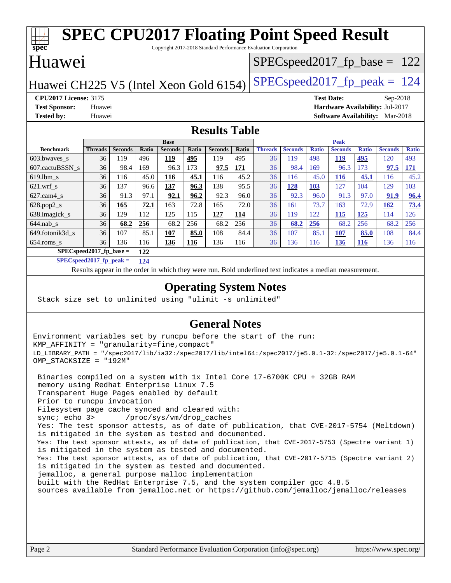#### **[spec](http://www.spec.org/) [SPEC CPU2017 Floating Point Speed Result](http://www.spec.org/auto/cpu2017/Docs/result-fields.html#SPECCPU2017FloatingPointSpeedResult)** Copyright 2017-2018 Standard Performance Evaluation Corporation Huawei Huawei CH225 V5 (Intel Xeon Gold 6154) SPECspeed 2017 fp peak  $= 124$ SPECspeed2017 fp base =  $122$ **[CPU2017 License:](http://www.spec.org/auto/cpu2017/Docs/result-fields.html#CPU2017License)** 3175 **[Test Date:](http://www.spec.org/auto/cpu2017/Docs/result-fields.html#TestDate)** Sep-2018 **[Test Sponsor:](http://www.spec.org/auto/cpu2017/Docs/result-fields.html#TestSponsor)** Huawei **[Hardware Availability:](http://www.spec.org/auto/cpu2017/Docs/result-fields.html#HardwareAvailability)** Jul-2017 **[Tested by:](http://www.spec.org/auto/cpu2017/Docs/result-fields.html#Testedby)** Huawei **[Software Availability:](http://www.spec.org/auto/cpu2017/Docs/result-fields.html#SoftwareAvailability)** Mar-2018 **[Results Table](http://www.spec.org/auto/cpu2017/Docs/result-fields.html#ResultsTable) [Benchmark](http://www.spec.org/auto/cpu2017/Docs/result-fields.html#Benchmark) [Threads](http://www.spec.org/auto/cpu2017/Docs/result-fields.html#Threads) [Seconds](http://www.spec.org/auto/cpu2017/Docs/result-fields.html#Seconds) [Ratio](http://www.spec.org/auto/cpu2017/Docs/result-fields.html#Ratio) [Seconds](http://www.spec.org/auto/cpu2017/Docs/result-fields.html#Seconds) [Ratio](http://www.spec.org/auto/cpu2017/Docs/result-fields.html#Ratio) [Seconds](http://www.spec.org/auto/cpu2017/Docs/result-fields.html#Seconds) [Ratio](http://www.spec.org/auto/cpu2017/Docs/result-fields.html#Ratio) Base [Threads](http://www.spec.org/auto/cpu2017/Docs/result-fields.html#Threads) [Seconds](http://www.spec.org/auto/cpu2017/Docs/result-fields.html#Seconds) [Ratio](http://www.spec.org/auto/cpu2017/Docs/result-fields.html#Ratio) [Seconds](http://www.spec.org/auto/cpu2017/Docs/result-fields.html#Seconds) [Ratio](http://www.spec.org/auto/cpu2017/Docs/result-fields.html#Ratio) [Seconds](http://www.spec.org/auto/cpu2017/Docs/result-fields.html#Seconds) [Ratio](http://www.spec.org/auto/cpu2017/Docs/result-fields.html#Ratio) Peak** [603.bwaves\\_s](http://www.spec.org/auto/cpu2017/Docs/benchmarks/603.bwaves_s.html) 36 119 496 **[119](http://www.spec.org/auto/cpu2017/Docs/result-fields.html#Median) [495](http://www.spec.org/auto/cpu2017/Docs/result-fields.html#Median)** 119 495 36 119 498 **[119](http://www.spec.org/auto/cpu2017/Docs/result-fields.html#Median) [495](http://www.spec.org/auto/cpu2017/Docs/result-fields.html#Median)** 120 493 [607.cactuBSSN\\_s](http://www.spec.org/auto/cpu2017/Docs/benchmarks/607.cactuBSSN_s.html) 36 98.4 169 96.3 173 **[97.5](http://www.spec.org/auto/cpu2017/Docs/result-fields.html#Median) [171](http://www.spec.org/auto/cpu2017/Docs/result-fields.html#Median)** 36 98.4 169 96.3 173 **[97.5](http://www.spec.org/auto/cpu2017/Docs/result-fields.html#Median) [171](http://www.spec.org/auto/cpu2017/Docs/result-fields.html#Median)** [619.lbm\\_s](http://www.spec.org/auto/cpu2017/Docs/benchmarks/619.lbm_s.html) 36 116 45.0 **[116](http://www.spec.org/auto/cpu2017/Docs/result-fields.html#Median) [45.1](http://www.spec.org/auto/cpu2017/Docs/result-fields.html#Median)** 116 45.2 36 116 45.0 **[116](http://www.spec.org/auto/cpu2017/Docs/result-fields.html#Median) [45.1](http://www.spec.org/auto/cpu2017/Docs/result-fields.html#Median)** 116 45.2 [621.wrf\\_s](http://www.spec.org/auto/cpu2017/Docs/benchmarks/621.wrf_s.html) 36 137 96.6 **[137](http://www.spec.org/auto/cpu2017/Docs/result-fields.html#Median) [96.3](http://www.spec.org/auto/cpu2017/Docs/result-fields.html#Median)** 138 95.5 36 **[128](http://www.spec.org/auto/cpu2017/Docs/result-fields.html#Median) [103](http://www.spec.org/auto/cpu2017/Docs/result-fields.html#Median)** 127 104 129 103 [627.cam4\\_s](http://www.spec.org/auto/cpu2017/Docs/benchmarks/627.cam4_s.html) 36 91.3 97.1 **[92.1](http://www.spec.org/auto/cpu2017/Docs/result-fields.html#Median) [96.2](http://www.spec.org/auto/cpu2017/Docs/result-fields.html#Median)** 92.3 96.0 36 92.3 96.0 91.3 97.0 **[91.9](http://www.spec.org/auto/cpu2017/Docs/result-fields.html#Median) [96.4](http://www.spec.org/auto/cpu2017/Docs/result-fields.html#Median)** [628.pop2\\_s](http://www.spec.org/auto/cpu2017/Docs/benchmarks/628.pop2_s.html) 36 **[165](http://www.spec.org/auto/cpu2017/Docs/result-fields.html#Median) [72.1](http://www.spec.org/auto/cpu2017/Docs/result-fields.html#Median)** 163 72.8 165 72.0 36 161 73.7 163 72.9 **[162](http://www.spec.org/auto/cpu2017/Docs/result-fields.html#Median) [73.4](http://www.spec.org/auto/cpu2017/Docs/result-fields.html#Median)** [638.imagick\\_s](http://www.spec.org/auto/cpu2017/Docs/benchmarks/638.imagick_s.html) 36 129 112 125 115 **[127](http://www.spec.org/auto/cpu2017/Docs/result-fields.html#Median) [114](http://www.spec.org/auto/cpu2017/Docs/result-fields.html#Median)** 36 119 122 **[115](http://www.spec.org/auto/cpu2017/Docs/result-fields.html#Median) [125](http://www.spec.org/auto/cpu2017/Docs/result-fields.html#Median)** 114 126 [644.nab\\_s](http://www.spec.org/auto/cpu2017/Docs/benchmarks/644.nab_s.html) 36 **[68.2](http://www.spec.org/auto/cpu2017/Docs/result-fields.html#Median) [256](http://www.spec.org/auto/cpu2017/Docs/result-fields.html#Median)** 68.2 256 68.2 256 36 **[68.2](http://www.spec.org/auto/cpu2017/Docs/result-fields.html#Median) [256](http://www.spec.org/auto/cpu2017/Docs/result-fields.html#Median)** 68.2 256 68.2 256 [649.fotonik3d\\_s](http://www.spec.org/auto/cpu2017/Docs/benchmarks/649.fotonik3d_s.html) 36 107 85.1 **[107](http://www.spec.org/auto/cpu2017/Docs/result-fields.html#Median) [85.0](http://www.spec.org/auto/cpu2017/Docs/result-fields.html#Median)** 108 84.4 36 107 85.1 **[107](http://www.spec.org/auto/cpu2017/Docs/result-fields.html#Median) [85.0](http://www.spec.org/auto/cpu2017/Docs/result-fields.html#Median)** 108 84.4 [654.roms\\_s](http://www.spec.org/auto/cpu2017/Docs/benchmarks/654.roms_s.html) 36 136 116 **[136](http://www.spec.org/auto/cpu2017/Docs/result-fields.html#Median) [116](http://www.spec.org/auto/cpu2017/Docs/result-fields.html#Median)** 136 116 36 136 116 **[136](http://www.spec.org/auto/cpu2017/Docs/result-fields.html#Median) [116](http://www.spec.org/auto/cpu2017/Docs/result-fields.html#Median)** 136 116

**[SPECspeed2017\\_fp\\_base =](http://www.spec.org/auto/cpu2017/Docs/result-fields.html#SPECspeed2017fpbase) 122 [SPECspeed2017\\_fp\\_peak =](http://www.spec.org/auto/cpu2017/Docs/result-fields.html#SPECspeed2017fppeak) 124**

Results appear in the [order in which they were run.](http://www.spec.org/auto/cpu2017/Docs/result-fields.html#RunOrder) Bold underlined text [indicates a median measurement](http://www.spec.org/auto/cpu2017/Docs/result-fields.html#Median).

### **[Operating System Notes](http://www.spec.org/auto/cpu2017/Docs/result-fields.html#OperatingSystemNotes)**

Stack size set to unlimited using "ulimit -s unlimited"

### **[General Notes](http://www.spec.org/auto/cpu2017/Docs/result-fields.html#GeneralNotes)**

Environment variables set by runcpu before the start of the run: KMP\_AFFINITY = "granularity=fine,compact" LD\_LIBRARY\_PATH = "/spec2017/lib/ia32:/spec2017/lib/intel64:/spec2017/je5.0.1-32:/spec2017/je5.0.1-64" OMP\_STACKSIZE = "192M"

 Binaries compiled on a system with 1x Intel Core i7-6700K CPU + 32GB RAM memory using Redhat Enterprise Linux 7.5 Transparent Huge Pages enabled by default Prior to runcpu invocation Filesystem page cache synced and cleared with: sync; echo 3> /proc/sys/vm/drop\_caches Yes: The test sponsor attests, as of date of publication, that CVE-2017-5754 (Meltdown) is mitigated in the system as tested and documented. Yes: The test sponsor attests, as of date of publication, that CVE-2017-5753 (Spectre variant 1) is mitigated in the system as tested and documented. Yes: The test sponsor attests, as of date of publication, that CVE-2017-5715 (Spectre variant 2) is mitigated in the system as tested and documented. jemalloc, a general purpose malloc implementation built with the RedHat Enterprise 7.5, and the system compiler gcc 4.8.5 sources available from jemalloc.net or <https://github.com/jemalloc/jemalloc/releases>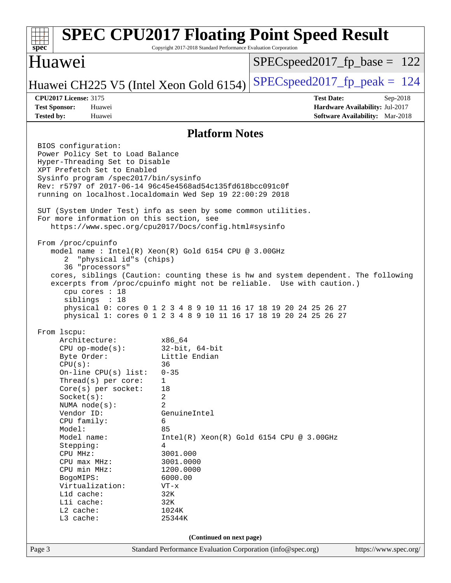### Page 3 Standard Performance Evaluation Corporation [\(info@spec.org\)](mailto:info@spec.org) <https://www.spec.org/> **[spec](http://www.spec.org/) [SPEC CPU2017 Floating Point Speed Result](http://www.spec.org/auto/cpu2017/Docs/result-fields.html#SPECCPU2017FloatingPointSpeedResult)** Copyright 2017-2018 Standard Performance Evaluation Corporation Huawei Huawei CH225 V5 (Intel Xeon Gold 6154) SPECspeed 2017 fp peak  $= 124$ SPECspeed2017 fp base =  $122$ **[CPU2017 License:](http://www.spec.org/auto/cpu2017/Docs/result-fields.html#CPU2017License)** 3175 **[Test Date:](http://www.spec.org/auto/cpu2017/Docs/result-fields.html#TestDate)** Sep-2018 **[Test Sponsor:](http://www.spec.org/auto/cpu2017/Docs/result-fields.html#TestSponsor)** Huawei **[Hardware Availability:](http://www.spec.org/auto/cpu2017/Docs/result-fields.html#HardwareAvailability)** Jul-2017 **[Tested by:](http://www.spec.org/auto/cpu2017/Docs/result-fields.html#Testedby)** Huawei **[Software Availability:](http://www.spec.org/auto/cpu2017/Docs/result-fields.html#SoftwareAvailability)** Mar-2018 **[Platform Notes](http://www.spec.org/auto/cpu2017/Docs/result-fields.html#PlatformNotes)** BIOS configuration: Power Policy Set to Load Balance Hyper-Threading Set to Disable XPT Prefetch Set to Enabled Sysinfo program /spec2017/bin/sysinfo Rev: r5797 of 2017-06-14 96c45e4568ad54c135fd618bcc091c0f running on localhost.localdomain Wed Sep 19 22:00:29 2018 SUT (System Under Test) info as seen by some common utilities. For more information on this section, see <https://www.spec.org/cpu2017/Docs/config.html#sysinfo> From /proc/cpuinfo model name : Intel(R) Xeon(R) Gold 6154 CPU @ 3.00GHz 2 "physical id"s (chips) 36 "processors" cores, siblings (Caution: counting these is hw and system dependent. The following excerpts from /proc/cpuinfo might not be reliable. Use with caution.) cpu cores : 18 siblings : 18 physical 0: cores 0 1 2 3 4 8 9 10 11 16 17 18 19 20 24 25 26 27 physical 1: cores 0 1 2 3 4 8 9 10 11 16 17 18 19 20 24 25 26 27 From lscpu: Architecture: x86\_64 CPU op-mode(s): 32-bit, 64-bit Byte Order: Little Endian CPU(s): 36 On-line CPU(s) list: 0-35 Thread(s) per core: 1 Core(s) per socket: 18 Socket(s): 2 NUMA node(s): 2 Vendor ID: GenuineIntel CPU family: 6 Model: 85 Model name:  $Intel(R)$  Xeon(R) Gold 6154 CPU @ 3.00GHz Stepping: 4 CPU MHz: 3001.000 CPU max MHz: 3001.0000 CPU min MHz: 1200.0000 BogoMIPS: 6000.00 Virtualization: VT-x L1d cache: 32K<br>
L1i cache: 32K  $L1i$  cache: L2 cache: 1024K L3 cache: 25344K **(Continued on next page)**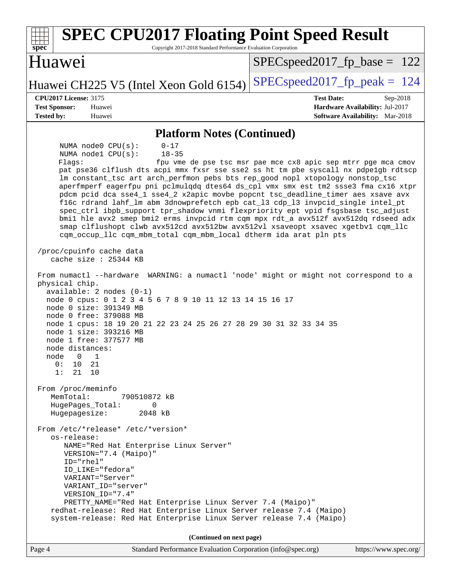| <b>SPEC CPU2017 Floating Point Speed Result</b><br>spec<br>Copyright 2017-2018 Standard Performance Evaluation Corporation                                                                                                                                                                                                                                                                                                                                                                                                                                                                                                                                                                                                                                                     |                                                                                                              |
|--------------------------------------------------------------------------------------------------------------------------------------------------------------------------------------------------------------------------------------------------------------------------------------------------------------------------------------------------------------------------------------------------------------------------------------------------------------------------------------------------------------------------------------------------------------------------------------------------------------------------------------------------------------------------------------------------------------------------------------------------------------------------------|--------------------------------------------------------------------------------------------------------------|
| Huawei                                                                                                                                                                                                                                                                                                                                                                                                                                                                                                                                                                                                                                                                                                                                                                         | $SPEC speed2017_fp\_base = 122$                                                                              |
| Huawei CH225 V5 (Intel Xeon Gold 6154)                                                                                                                                                                                                                                                                                                                                                                                                                                                                                                                                                                                                                                                                                                                                         | $SPEC speed2017_fp\_peak = 124$                                                                              |
| <b>CPU2017 License: 3175</b><br><b>Test Sponsor:</b><br>Huawei<br><b>Tested by:</b><br>Huawei                                                                                                                                                                                                                                                                                                                                                                                                                                                                                                                                                                                                                                                                                  | <b>Test Date:</b><br>$Sep-2018$<br>Hardware Availability: Jul-2017<br><b>Software Availability:</b> Mar-2018 |
| <b>Platform Notes (Continued)</b>                                                                                                                                                                                                                                                                                                                                                                                                                                                                                                                                                                                                                                                                                                                                              |                                                                                                              |
| NUMA node0 CPU(s):<br>$0 - 17$<br>NUMA nodel CPU(s):<br>$18 - 35$                                                                                                                                                                                                                                                                                                                                                                                                                                                                                                                                                                                                                                                                                                              |                                                                                                              |
| Flagg:<br>pat pse36 clflush dts acpi mmx fxsr sse sse2 ss ht tm pbe syscall nx pdpelgb rdtscp<br>lm constant_tsc art arch_perfmon pebs bts rep_good nopl xtopology nonstop_tsc<br>aperfmperf eagerfpu pni pclmulqdq dtes64 ds_cpl vmx smx est tm2 ssse3 fma cx16 xtpr<br>pdcm pcid dca sse4_1 sse4_2 x2apic movbe popcnt tsc_deadline_timer aes xsave avx<br>fl6c rdrand lahf_lm abm 3dnowprefetch epb cat_13 cdp_13 invpcid_single intel_pt<br>spec_ctrl ibpb_support tpr_shadow vnmi flexpriority ept vpid fsgsbase tsc_adjust<br>bmil hle avx2 smep bmi2 erms invpcid rtm cqm mpx rdt_a avx512f avx512dq rdseed adx<br>smap clflushopt clwb avx512cd avx512bw avx512vl xsaveopt xsavec xgetbvl cqm_llc<br>cqm_occup_llc cqm_mbm_total cqm_mbm_local dtherm ida arat pln pts | fpu vme de pse tsc msr pae mce cx8 apic sep mtrr pge mca cmov                                                |
| /proc/cpuinfo cache data<br>cache size : 25344 KB                                                                                                                                                                                                                                                                                                                                                                                                                                                                                                                                                                                                                                                                                                                              |                                                                                                              |
| From numactl --hardware WARNING: a numactl 'node' might or might not correspond to a<br>physical chip.<br>$available: 2 nodes (0-1)$<br>node 0 cpus: 0 1 2 3 4 5 6 7 8 9 10 11 12 13 14 15 16 17<br>node 0 size: 391349 MB<br>node 0 free: 379088 MB<br>node 1 cpus: 18 19 20 21 22 23 24 25 26 27 28 29 30 31 32 33 34 35<br>node 1 size: 393216 MB<br>node 1 free: 377577 MB<br>node distances:<br>node 0 1<br>0:10<br>21<br>1: 21 10                                                                                                                                                                                                                                                                                                                                        |                                                                                                              |
| From /proc/meminfo<br>MemTotal:<br>790510872 kB<br>HugePages_Total:<br>0<br>Hugepagesize:<br>2048 kB                                                                                                                                                                                                                                                                                                                                                                                                                                                                                                                                                                                                                                                                           |                                                                                                              |
| From /etc/*release* /etc/*version*<br>os-release:<br>NAME="Red Hat Enterprise Linux Server"<br>VERSION="7.4 (Maipo)"<br>ID="rhel"<br>ID LIKE="fedora"<br>VARIANT="Server"<br>VARIANT_ID="server"<br>VERSION_ID="7.4"<br>PRETTY_NAME="Red Hat Enterprise Linux Server 7.4 (Maipo)"<br>redhat-release: Red Hat Enterprise Linux Server release 7.4 (Maipo)<br>system-release: Red Hat Enterprise Linux Server release 7.4 (Maipo)<br>(Continued on next page)                                                                                                                                                                                                                                                                                                                    |                                                                                                              |
|                                                                                                                                                                                                                                                                                                                                                                                                                                                                                                                                                                                                                                                                                                                                                                                |                                                                                                              |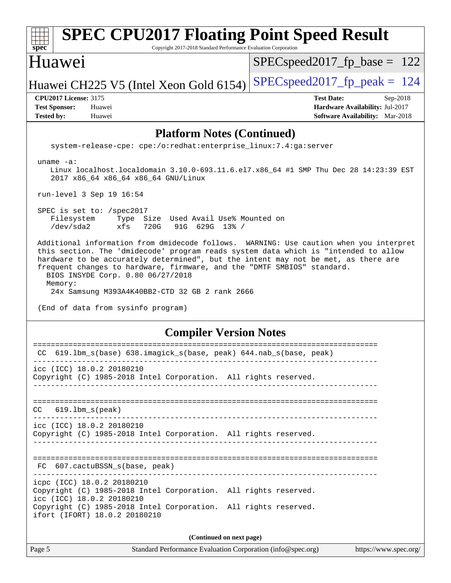### Page 5 Standard Performance Evaluation Corporation [\(info@spec.org\)](mailto:info@spec.org) <https://www.spec.org/> **[spec](http://www.spec.org/) [SPEC CPU2017 Floating Point Speed Result](http://www.spec.org/auto/cpu2017/Docs/result-fields.html#SPECCPU2017FloatingPointSpeedResult)** Copyright 2017-2018 Standard Performance Evaluation Corporation Huawei Huawei CH225 V5 (Intel Xeon Gold 6154) SPECspeed 2017 fp peak  $= 124$ SPECspeed2017 fp base =  $122$ **[CPU2017 License:](http://www.spec.org/auto/cpu2017/Docs/result-fields.html#CPU2017License)** 3175 **[Test Date:](http://www.spec.org/auto/cpu2017/Docs/result-fields.html#TestDate)** Sep-2018 **[Test Sponsor:](http://www.spec.org/auto/cpu2017/Docs/result-fields.html#TestSponsor)** Huawei **[Hardware Availability:](http://www.spec.org/auto/cpu2017/Docs/result-fields.html#HardwareAvailability)** Jul-2017 **[Tested by:](http://www.spec.org/auto/cpu2017/Docs/result-fields.html#Testedby)** Huawei **[Software Availability:](http://www.spec.org/auto/cpu2017/Docs/result-fields.html#SoftwareAvailability)** Mar-2018 **[Platform Notes \(Continued\)](http://www.spec.org/auto/cpu2017/Docs/result-fields.html#PlatformNotes)** system-release-cpe: cpe:/o:redhat:enterprise\_linux:7.4:ga:server uname -a: Linux localhost.localdomain 3.10.0-693.11.6.el7.x86\_64 #1 SMP Thu Dec 28 14:23:39 EST 2017 x86\_64 x86\_64 x86\_64 GNU/Linux run-level 3 Sep 19 16:54 SPEC is set to: /spec2017 Filesystem Type Size Used Avail Use% Mounted on /dev/sda2 xfs 720G 91G 629G 13% / Additional information from dmidecode follows. WARNING: Use caution when you interpret this section. The 'dmidecode' program reads system data which is "intended to allow hardware to be accurately determined", but the intent may not be met, as there are frequent changes to hardware, firmware, and the "DMTF SMBIOS" standard. BIOS INSYDE Corp. 0.80 06/27/2018 Memory: 24x Samsung M393A4K40BB2-CTD 32 GB 2 rank 2666 (End of data from sysinfo program) **[Compiler Version Notes](http://www.spec.org/auto/cpu2017/Docs/result-fields.html#CompilerVersionNotes)** ============================================================================== CC 619.lbm\_s(base) 638.imagick\_s(base, peak) 644.nab\_s(base, peak) ----------------------------------------------------------------------------- icc (ICC) 18.0.2 20180210 Copyright (C) 1985-2018 Intel Corporation. All rights reserved. ------------------------------------------------------------------------------ ============================================================================== CC 619.lbm\_s(peak) ----------------------------------------------------------------------------- icc (ICC) 18.0.2 20180210 Copyright (C) 1985-2018 Intel Corporation. All rights reserved. ------------------------------------------------------------------------------ ============================================================================== FC 607.cactuBSSN s(base, peak) ----------------------------------------------------------------------------- icpc (ICC) 18.0.2 20180210 Copyright (C) 1985-2018 Intel Corporation. All rights reserved. icc (ICC) 18.0.2 20180210 Copyright (C) 1985-2018 Intel Corporation. All rights reserved. ifort (IFORT) 18.0.2 20180210 **(Continued on next page)**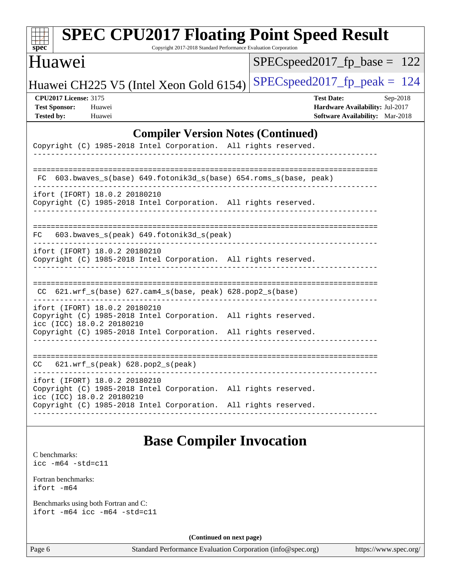| Huawei                                                                                                                        | $SPEC speed2017_fp\_base = 122$                                                                            |
|-------------------------------------------------------------------------------------------------------------------------------|------------------------------------------------------------------------------------------------------------|
| Huawei CH225 V5 (Intel Xeon Gold 6154)                                                                                        | $SPEC speed2017_fp\_peak = 124$                                                                            |
| <b>CPU2017 License: 3175</b><br><b>Test Sponsor:</b><br>Huawei<br><b>Tested by:</b><br>Huawei                                 | <b>Test Date:</b><br>Sep-2018<br>Hardware Availability: Jul-2017<br><b>Software Availability:</b> Mar-2018 |
| <b>Compiler Version Notes (Continued)</b>                                                                                     |                                                                                                            |
| Copyright (C) 1985-2018 Intel Corporation. All rights reserved.                                                               |                                                                                                            |
| 603.bwaves_s(base) 649.fotonik3d_s(base) 654.roms_s(base, peak)<br>FC.                                                        |                                                                                                            |
| ifort (IFORT) 18.0.2 20180210<br>Copyright (C) 1985-2018 Intel Corporation. All rights reserved.                              |                                                                                                            |
| 603.bwaves_s(peak) 649.fotonik3d_s(peak)<br>FC.                                                                               |                                                                                                            |
| ifort (IFORT) 18.0.2 20180210<br>Copyright (C) 1985-2018 Intel Corporation. All rights reserved.                              |                                                                                                            |
| 621.wrf_s(base) 627.cam4_s(base, peak) 628.pop2_s(base)<br>CC.                                                                |                                                                                                            |
| ifort (IFORT) 18.0.2 20180210<br>Copyright (C) 1985-2018 Intel Corporation. All rights reserved.<br>icc (ICC) 18.0.2 20180210 |                                                                                                            |
| Copyright (C) 1985-2018 Intel Corporation. All rights reserved.                                                               |                                                                                                            |
| $621.wrf_s(peak)$ $628.pop2_s(peak)$<br>CC.                                                                                   |                                                                                                            |
| ifort (IFORT) 18.0.2 20180210<br>Copyright (C) 1985-2018 Intel Corporation. All rights reserved.<br>icc (ICC) 18.0.2 20180210 |                                                                                                            |

## **[Base Compiler Invocation](http://www.spec.org/auto/cpu2017/Docs/result-fields.html#BaseCompilerInvocation)**

[C benchmarks](http://www.spec.org/auto/cpu2017/Docs/result-fields.html#Cbenchmarks): [icc -m64 -std=c11](http://www.spec.org/cpu2017/results/res2018q4/cpu2017-20180924-08937.flags.html#user_CCbase_intel_icc_64bit_c11_33ee0cdaae7deeeab2a9725423ba97205ce30f63b9926c2519791662299b76a0318f32ddfffdc46587804de3178b4f9328c46fa7c2b0cd779d7a61945c91cd35)

[Fortran benchmarks](http://www.spec.org/auto/cpu2017/Docs/result-fields.html#Fortranbenchmarks): [ifort -m64](http://www.spec.org/cpu2017/results/res2018q4/cpu2017-20180924-08937.flags.html#user_FCbase_intel_ifort_64bit_24f2bb282fbaeffd6157abe4f878425411749daecae9a33200eee2bee2fe76f3b89351d69a8130dd5949958ce389cf37ff59a95e7a40d588e8d3a57e0c3fd751)

[Benchmarks using both Fortran and C](http://www.spec.org/auto/cpu2017/Docs/result-fields.html#BenchmarksusingbothFortranandC): [ifort -m64](http://www.spec.org/cpu2017/results/res2018q4/cpu2017-20180924-08937.flags.html#user_CC_FCbase_intel_ifort_64bit_24f2bb282fbaeffd6157abe4f878425411749daecae9a33200eee2bee2fe76f3b89351d69a8130dd5949958ce389cf37ff59a95e7a40d588e8d3a57e0c3fd751) [icc -m64 -std=c11](http://www.spec.org/cpu2017/results/res2018q4/cpu2017-20180924-08937.flags.html#user_CC_FCbase_intel_icc_64bit_c11_33ee0cdaae7deeeab2a9725423ba97205ce30f63b9926c2519791662299b76a0318f32ddfffdc46587804de3178b4f9328c46fa7c2b0cd779d7a61945c91cd35)

**(Continued on next page)**

Page 6 Standard Performance Evaluation Corporation [\(info@spec.org\)](mailto:info@spec.org) <https://www.spec.org/>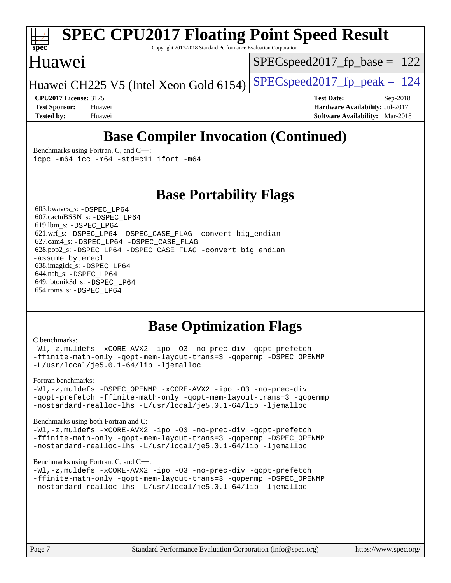

# **[SPEC CPU2017 Floating Point Speed Result](http://www.spec.org/auto/cpu2017/Docs/result-fields.html#SPECCPU2017FloatingPointSpeedResult)**

Copyright 2017-2018 Standard Performance Evaluation Corporation

### Huawei

SPECspeed2017 fp base =  $122$ 

Huawei CH225 V5 (Intel Xeon Gold 6154) SPECspeed 2017 fp peak  $= 124$ 

**[CPU2017 License:](http://www.spec.org/auto/cpu2017/Docs/result-fields.html#CPU2017License)** 3175 **[Test Date:](http://www.spec.org/auto/cpu2017/Docs/result-fields.html#TestDate)** Sep-2018 **[Test Sponsor:](http://www.spec.org/auto/cpu2017/Docs/result-fields.html#TestSponsor)** Huawei **[Hardware Availability:](http://www.spec.org/auto/cpu2017/Docs/result-fields.html#HardwareAvailability)** Jul-2017 **[Tested by:](http://www.spec.org/auto/cpu2017/Docs/result-fields.html#Testedby)** Huawei **[Software Availability:](http://www.spec.org/auto/cpu2017/Docs/result-fields.html#SoftwareAvailability)** Mar-2018

## **[Base Compiler Invocation \(Continued\)](http://www.spec.org/auto/cpu2017/Docs/result-fields.html#BaseCompilerInvocation)**

[Benchmarks using Fortran, C, and C++:](http://www.spec.org/auto/cpu2017/Docs/result-fields.html#BenchmarksusingFortranCandCXX) [icpc -m64](http://www.spec.org/cpu2017/results/res2018q4/cpu2017-20180924-08937.flags.html#user_CC_CXX_FCbase_intel_icpc_64bit_4ecb2543ae3f1412ef961e0650ca070fec7b7afdcd6ed48761b84423119d1bf6bdf5cad15b44d48e7256388bc77273b966e5eb805aefd121eb22e9299b2ec9d9) [icc -m64 -std=c11](http://www.spec.org/cpu2017/results/res2018q4/cpu2017-20180924-08937.flags.html#user_CC_CXX_FCbase_intel_icc_64bit_c11_33ee0cdaae7deeeab2a9725423ba97205ce30f63b9926c2519791662299b76a0318f32ddfffdc46587804de3178b4f9328c46fa7c2b0cd779d7a61945c91cd35) [ifort -m64](http://www.spec.org/cpu2017/results/res2018q4/cpu2017-20180924-08937.flags.html#user_CC_CXX_FCbase_intel_ifort_64bit_24f2bb282fbaeffd6157abe4f878425411749daecae9a33200eee2bee2fe76f3b89351d69a8130dd5949958ce389cf37ff59a95e7a40d588e8d3a57e0c3fd751)

### **[Base Portability Flags](http://www.spec.org/auto/cpu2017/Docs/result-fields.html#BasePortabilityFlags)**

 603.bwaves\_s: [-DSPEC\\_LP64](http://www.spec.org/cpu2017/results/res2018q4/cpu2017-20180924-08937.flags.html#suite_basePORTABILITY603_bwaves_s_DSPEC_LP64) 607.cactuBSSN\_s: [-DSPEC\\_LP64](http://www.spec.org/cpu2017/results/res2018q4/cpu2017-20180924-08937.flags.html#suite_basePORTABILITY607_cactuBSSN_s_DSPEC_LP64) 619.lbm\_s: [-DSPEC\\_LP64](http://www.spec.org/cpu2017/results/res2018q4/cpu2017-20180924-08937.flags.html#suite_basePORTABILITY619_lbm_s_DSPEC_LP64) 621.wrf\_s: [-DSPEC\\_LP64](http://www.spec.org/cpu2017/results/res2018q4/cpu2017-20180924-08937.flags.html#suite_basePORTABILITY621_wrf_s_DSPEC_LP64) [-DSPEC\\_CASE\\_FLAG](http://www.spec.org/cpu2017/results/res2018q4/cpu2017-20180924-08937.flags.html#b621.wrf_s_baseCPORTABILITY_DSPEC_CASE_FLAG) [-convert big\\_endian](http://www.spec.org/cpu2017/results/res2018q4/cpu2017-20180924-08937.flags.html#user_baseFPORTABILITY621_wrf_s_convert_big_endian_c3194028bc08c63ac5d04de18c48ce6d347e4e562e8892b8bdbdc0214820426deb8554edfa529a3fb25a586e65a3d812c835984020483e7e73212c4d31a38223) 627.cam4\_s: [-DSPEC\\_LP64](http://www.spec.org/cpu2017/results/res2018q4/cpu2017-20180924-08937.flags.html#suite_basePORTABILITY627_cam4_s_DSPEC_LP64) [-DSPEC\\_CASE\\_FLAG](http://www.spec.org/cpu2017/results/res2018q4/cpu2017-20180924-08937.flags.html#b627.cam4_s_baseCPORTABILITY_DSPEC_CASE_FLAG) 628.pop2\_s: [-DSPEC\\_LP64](http://www.spec.org/cpu2017/results/res2018q4/cpu2017-20180924-08937.flags.html#suite_basePORTABILITY628_pop2_s_DSPEC_LP64) [-DSPEC\\_CASE\\_FLAG](http://www.spec.org/cpu2017/results/res2018q4/cpu2017-20180924-08937.flags.html#b628.pop2_s_baseCPORTABILITY_DSPEC_CASE_FLAG) [-convert big\\_endian](http://www.spec.org/cpu2017/results/res2018q4/cpu2017-20180924-08937.flags.html#user_baseFPORTABILITY628_pop2_s_convert_big_endian_c3194028bc08c63ac5d04de18c48ce6d347e4e562e8892b8bdbdc0214820426deb8554edfa529a3fb25a586e65a3d812c835984020483e7e73212c4d31a38223) [-assume byterecl](http://www.spec.org/cpu2017/results/res2018q4/cpu2017-20180924-08937.flags.html#user_baseFPORTABILITY628_pop2_s_assume_byterecl_7e47d18b9513cf18525430bbf0f2177aa9bf368bc7a059c09b2c06a34b53bd3447c950d3f8d6c70e3faf3a05c8557d66a5798b567902e8849adc142926523472) 638.imagick\_s: [-DSPEC\\_LP64](http://www.spec.org/cpu2017/results/res2018q4/cpu2017-20180924-08937.flags.html#suite_basePORTABILITY638_imagick_s_DSPEC_LP64) 644.nab\_s: [-DSPEC\\_LP64](http://www.spec.org/cpu2017/results/res2018q4/cpu2017-20180924-08937.flags.html#suite_basePORTABILITY644_nab_s_DSPEC_LP64) 649.fotonik3d\_s: [-DSPEC\\_LP64](http://www.spec.org/cpu2017/results/res2018q4/cpu2017-20180924-08937.flags.html#suite_basePORTABILITY649_fotonik3d_s_DSPEC_LP64) 654.roms\_s: [-DSPEC\\_LP64](http://www.spec.org/cpu2017/results/res2018q4/cpu2017-20180924-08937.flags.html#suite_basePORTABILITY654_roms_s_DSPEC_LP64)

### **[Base Optimization Flags](http://www.spec.org/auto/cpu2017/Docs/result-fields.html#BaseOptimizationFlags)**

#### [C benchmarks](http://www.spec.org/auto/cpu2017/Docs/result-fields.html#Cbenchmarks):

[-Wl,-z,muldefs](http://www.spec.org/cpu2017/results/res2018q4/cpu2017-20180924-08937.flags.html#user_CCbase_link_force_multiple1_b4cbdb97b34bdee9ceefcfe54f4c8ea74255f0b02a4b23e853cdb0e18eb4525ac79b5a88067c842dd0ee6996c24547a27a4b99331201badda8798ef8a743f577) [-xCORE-AVX2](http://www.spec.org/cpu2017/results/res2018q4/cpu2017-20180924-08937.flags.html#user_CCbase_f-xCORE-AVX2) [-ipo](http://www.spec.org/cpu2017/results/res2018q4/cpu2017-20180924-08937.flags.html#user_CCbase_f-ipo) [-O3](http://www.spec.org/cpu2017/results/res2018q4/cpu2017-20180924-08937.flags.html#user_CCbase_f-O3) [-no-prec-div](http://www.spec.org/cpu2017/results/res2018q4/cpu2017-20180924-08937.flags.html#user_CCbase_f-no-prec-div) [-qopt-prefetch](http://www.spec.org/cpu2017/results/res2018q4/cpu2017-20180924-08937.flags.html#user_CCbase_f-qopt-prefetch) [-ffinite-math-only](http://www.spec.org/cpu2017/results/res2018q4/cpu2017-20180924-08937.flags.html#user_CCbase_f_finite_math_only_cb91587bd2077682c4b38af759c288ed7c732db004271a9512da14a4f8007909a5f1427ecbf1a0fb78ff2a814402c6114ac565ca162485bbcae155b5e4258871) [-qopt-mem-layout-trans=3](http://www.spec.org/cpu2017/results/res2018q4/cpu2017-20180924-08937.flags.html#user_CCbase_f-qopt-mem-layout-trans_de80db37974c74b1f0e20d883f0b675c88c3b01e9d123adea9b28688d64333345fb62bc4a798493513fdb68f60282f9a726aa07f478b2f7113531aecce732043) [-qopenmp](http://www.spec.org/cpu2017/results/res2018q4/cpu2017-20180924-08937.flags.html#user_CCbase_qopenmp_16be0c44f24f464004c6784a7acb94aca937f053568ce72f94b139a11c7c168634a55f6653758ddd83bcf7b8463e8028bb0b48b77bcddc6b78d5d95bb1df2967) [-DSPEC\\_OPENMP](http://www.spec.org/cpu2017/results/res2018q4/cpu2017-20180924-08937.flags.html#suite_CCbase_DSPEC_OPENMP) [-L/usr/local/je5.0.1-64/lib](http://www.spec.org/cpu2017/results/res2018q4/cpu2017-20180924-08937.flags.html#user_CCbase_jemalloc_link_path64_4b10a636b7bce113509b17f3bd0d6226c5fb2346b9178c2d0232c14f04ab830f976640479e5c33dc2bcbbdad86ecfb6634cbbd4418746f06f368b512fced5394) [-ljemalloc](http://www.spec.org/cpu2017/results/res2018q4/cpu2017-20180924-08937.flags.html#user_CCbase_jemalloc_link_lib_d1249b907c500fa1c0672f44f562e3d0f79738ae9e3c4a9c376d49f265a04b9c99b167ecedbf6711b3085be911c67ff61f150a17b3472be731631ba4d0471706)

#### [Fortran benchmarks](http://www.spec.org/auto/cpu2017/Docs/result-fields.html#Fortranbenchmarks):

[-Wl,-z,muldefs](http://www.spec.org/cpu2017/results/res2018q4/cpu2017-20180924-08937.flags.html#user_FCbase_link_force_multiple1_b4cbdb97b34bdee9ceefcfe54f4c8ea74255f0b02a4b23e853cdb0e18eb4525ac79b5a88067c842dd0ee6996c24547a27a4b99331201badda8798ef8a743f577) [-DSPEC\\_OPENMP](http://www.spec.org/cpu2017/results/res2018q4/cpu2017-20180924-08937.flags.html#suite_FCbase_DSPEC_OPENMP) [-xCORE-AVX2](http://www.spec.org/cpu2017/results/res2018q4/cpu2017-20180924-08937.flags.html#user_FCbase_f-xCORE-AVX2) [-ipo](http://www.spec.org/cpu2017/results/res2018q4/cpu2017-20180924-08937.flags.html#user_FCbase_f-ipo) [-O3](http://www.spec.org/cpu2017/results/res2018q4/cpu2017-20180924-08937.flags.html#user_FCbase_f-O3) [-no-prec-div](http://www.spec.org/cpu2017/results/res2018q4/cpu2017-20180924-08937.flags.html#user_FCbase_f-no-prec-div) [-qopt-prefetch](http://www.spec.org/cpu2017/results/res2018q4/cpu2017-20180924-08937.flags.html#user_FCbase_f-qopt-prefetch) [-ffinite-math-only](http://www.spec.org/cpu2017/results/res2018q4/cpu2017-20180924-08937.flags.html#user_FCbase_f_finite_math_only_cb91587bd2077682c4b38af759c288ed7c732db004271a9512da14a4f8007909a5f1427ecbf1a0fb78ff2a814402c6114ac565ca162485bbcae155b5e4258871) [-qopt-mem-layout-trans=3](http://www.spec.org/cpu2017/results/res2018q4/cpu2017-20180924-08937.flags.html#user_FCbase_f-qopt-mem-layout-trans_de80db37974c74b1f0e20d883f0b675c88c3b01e9d123adea9b28688d64333345fb62bc4a798493513fdb68f60282f9a726aa07f478b2f7113531aecce732043) [-qopenmp](http://www.spec.org/cpu2017/results/res2018q4/cpu2017-20180924-08937.flags.html#user_FCbase_qopenmp_16be0c44f24f464004c6784a7acb94aca937f053568ce72f94b139a11c7c168634a55f6653758ddd83bcf7b8463e8028bb0b48b77bcddc6b78d5d95bb1df2967) [-nostandard-realloc-lhs](http://www.spec.org/cpu2017/results/res2018q4/cpu2017-20180924-08937.flags.html#user_FCbase_f_2003_std_realloc_82b4557e90729c0f113870c07e44d33d6f5a304b4f63d4c15d2d0f1fab99f5daaed73bdb9275d9ae411527f28b936061aa8b9c8f2d63842963b95c9dd6426b8a) [-L/usr/local/je5.0.1-64/lib](http://www.spec.org/cpu2017/results/res2018q4/cpu2017-20180924-08937.flags.html#user_FCbase_jemalloc_link_path64_4b10a636b7bce113509b17f3bd0d6226c5fb2346b9178c2d0232c14f04ab830f976640479e5c33dc2bcbbdad86ecfb6634cbbd4418746f06f368b512fced5394) [-ljemalloc](http://www.spec.org/cpu2017/results/res2018q4/cpu2017-20180924-08937.flags.html#user_FCbase_jemalloc_link_lib_d1249b907c500fa1c0672f44f562e3d0f79738ae9e3c4a9c376d49f265a04b9c99b167ecedbf6711b3085be911c67ff61f150a17b3472be731631ba4d0471706)

#### [Benchmarks using both Fortran and C](http://www.spec.org/auto/cpu2017/Docs/result-fields.html#BenchmarksusingbothFortranandC):

[-Wl,-z,muldefs](http://www.spec.org/cpu2017/results/res2018q4/cpu2017-20180924-08937.flags.html#user_CC_FCbase_link_force_multiple1_b4cbdb97b34bdee9ceefcfe54f4c8ea74255f0b02a4b23e853cdb0e18eb4525ac79b5a88067c842dd0ee6996c24547a27a4b99331201badda8798ef8a743f577) [-xCORE-AVX2](http://www.spec.org/cpu2017/results/res2018q4/cpu2017-20180924-08937.flags.html#user_CC_FCbase_f-xCORE-AVX2) [-ipo](http://www.spec.org/cpu2017/results/res2018q4/cpu2017-20180924-08937.flags.html#user_CC_FCbase_f-ipo) [-O3](http://www.spec.org/cpu2017/results/res2018q4/cpu2017-20180924-08937.flags.html#user_CC_FCbase_f-O3) [-no-prec-div](http://www.spec.org/cpu2017/results/res2018q4/cpu2017-20180924-08937.flags.html#user_CC_FCbase_f-no-prec-div) [-qopt-prefetch](http://www.spec.org/cpu2017/results/res2018q4/cpu2017-20180924-08937.flags.html#user_CC_FCbase_f-qopt-prefetch) [-ffinite-math-only](http://www.spec.org/cpu2017/results/res2018q4/cpu2017-20180924-08937.flags.html#user_CC_FCbase_f_finite_math_only_cb91587bd2077682c4b38af759c288ed7c732db004271a9512da14a4f8007909a5f1427ecbf1a0fb78ff2a814402c6114ac565ca162485bbcae155b5e4258871) [-qopt-mem-layout-trans=3](http://www.spec.org/cpu2017/results/res2018q4/cpu2017-20180924-08937.flags.html#user_CC_FCbase_f-qopt-mem-layout-trans_de80db37974c74b1f0e20d883f0b675c88c3b01e9d123adea9b28688d64333345fb62bc4a798493513fdb68f60282f9a726aa07f478b2f7113531aecce732043) [-qopenmp](http://www.spec.org/cpu2017/results/res2018q4/cpu2017-20180924-08937.flags.html#user_CC_FCbase_qopenmp_16be0c44f24f464004c6784a7acb94aca937f053568ce72f94b139a11c7c168634a55f6653758ddd83bcf7b8463e8028bb0b48b77bcddc6b78d5d95bb1df2967) [-DSPEC\\_OPENMP](http://www.spec.org/cpu2017/results/res2018q4/cpu2017-20180924-08937.flags.html#suite_CC_FCbase_DSPEC_OPENMP) [-nostandard-realloc-lhs](http://www.spec.org/cpu2017/results/res2018q4/cpu2017-20180924-08937.flags.html#user_CC_FCbase_f_2003_std_realloc_82b4557e90729c0f113870c07e44d33d6f5a304b4f63d4c15d2d0f1fab99f5daaed73bdb9275d9ae411527f28b936061aa8b9c8f2d63842963b95c9dd6426b8a) [-L/usr/local/je5.0.1-64/lib](http://www.spec.org/cpu2017/results/res2018q4/cpu2017-20180924-08937.flags.html#user_CC_FCbase_jemalloc_link_path64_4b10a636b7bce113509b17f3bd0d6226c5fb2346b9178c2d0232c14f04ab830f976640479e5c33dc2bcbbdad86ecfb6634cbbd4418746f06f368b512fced5394) [-ljemalloc](http://www.spec.org/cpu2017/results/res2018q4/cpu2017-20180924-08937.flags.html#user_CC_FCbase_jemalloc_link_lib_d1249b907c500fa1c0672f44f562e3d0f79738ae9e3c4a9c376d49f265a04b9c99b167ecedbf6711b3085be911c67ff61f150a17b3472be731631ba4d0471706)

#### [Benchmarks using Fortran, C, and C++:](http://www.spec.org/auto/cpu2017/Docs/result-fields.html#BenchmarksusingFortranCandCXX)

[-Wl,-z,muldefs](http://www.spec.org/cpu2017/results/res2018q4/cpu2017-20180924-08937.flags.html#user_CC_CXX_FCbase_link_force_multiple1_b4cbdb97b34bdee9ceefcfe54f4c8ea74255f0b02a4b23e853cdb0e18eb4525ac79b5a88067c842dd0ee6996c24547a27a4b99331201badda8798ef8a743f577) [-xCORE-AVX2](http://www.spec.org/cpu2017/results/res2018q4/cpu2017-20180924-08937.flags.html#user_CC_CXX_FCbase_f-xCORE-AVX2) [-ipo](http://www.spec.org/cpu2017/results/res2018q4/cpu2017-20180924-08937.flags.html#user_CC_CXX_FCbase_f-ipo) [-O3](http://www.spec.org/cpu2017/results/res2018q4/cpu2017-20180924-08937.flags.html#user_CC_CXX_FCbase_f-O3) [-no-prec-div](http://www.spec.org/cpu2017/results/res2018q4/cpu2017-20180924-08937.flags.html#user_CC_CXX_FCbase_f-no-prec-div) [-qopt-prefetch](http://www.spec.org/cpu2017/results/res2018q4/cpu2017-20180924-08937.flags.html#user_CC_CXX_FCbase_f-qopt-prefetch) [-ffinite-math-only](http://www.spec.org/cpu2017/results/res2018q4/cpu2017-20180924-08937.flags.html#user_CC_CXX_FCbase_f_finite_math_only_cb91587bd2077682c4b38af759c288ed7c732db004271a9512da14a4f8007909a5f1427ecbf1a0fb78ff2a814402c6114ac565ca162485bbcae155b5e4258871) [-qopt-mem-layout-trans=3](http://www.spec.org/cpu2017/results/res2018q4/cpu2017-20180924-08937.flags.html#user_CC_CXX_FCbase_f-qopt-mem-layout-trans_de80db37974c74b1f0e20d883f0b675c88c3b01e9d123adea9b28688d64333345fb62bc4a798493513fdb68f60282f9a726aa07f478b2f7113531aecce732043) [-qopenmp](http://www.spec.org/cpu2017/results/res2018q4/cpu2017-20180924-08937.flags.html#user_CC_CXX_FCbase_qopenmp_16be0c44f24f464004c6784a7acb94aca937f053568ce72f94b139a11c7c168634a55f6653758ddd83bcf7b8463e8028bb0b48b77bcddc6b78d5d95bb1df2967) [-DSPEC\\_OPENMP](http://www.spec.org/cpu2017/results/res2018q4/cpu2017-20180924-08937.flags.html#suite_CC_CXX_FCbase_DSPEC_OPENMP) [-nostandard-realloc-lhs](http://www.spec.org/cpu2017/results/res2018q4/cpu2017-20180924-08937.flags.html#user_CC_CXX_FCbase_f_2003_std_realloc_82b4557e90729c0f113870c07e44d33d6f5a304b4f63d4c15d2d0f1fab99f5daaed73bdb9275d9ae411527f28b936061aa8b9c8f2d63842963b95c9dd6426b8a) [-L/usr/local/je5.0.1-64/lib](http://www.spec.org/cpu2017/results/res2018q4/cpu2017-20180924-08937.flags.html#user_CC_CXX_FCbase_jemalloc_link_path64_4b10a636b7bce113509b17f3bd0d6226c5fb2346b9178c2d0232c14f04ab830f976640479e5c33dc2bcbbdad86ecfb6634cbbd4418746f06f368b512fced5394) [-ljemalloc](http://www.spec.org/cpu2017/results/res2018q4/cpu2017-20180924-08937.flags.html#user_CC_CXX_FCbase_jemalloc_link_lib_d1249b907c500fa1c0672f44f562e3d0f79738ae9e3c4a9c376d49f265a04b9c99b167ecedbf6711b3085be911c67ff61f150a17b3472be731631ba4d0471706)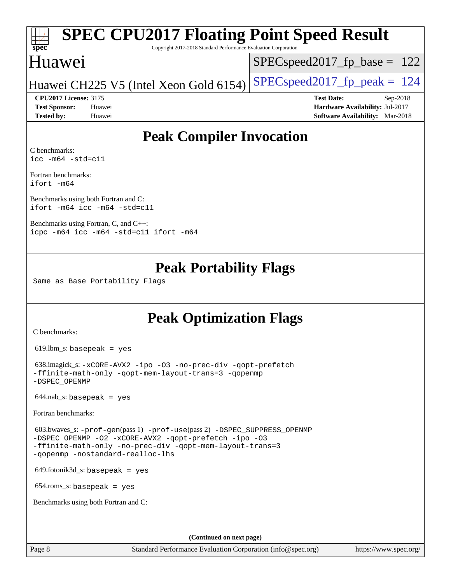# **[spec](http://www.spec.org/)**

# **[SPEC CPU2017 Floating Point Speed Result](http://www.spec.org/auto/cpu2017/Docs/result-fields.html#SPECCPU2017FloatingPointSpeedResult)**

Copyright 2017-2018 Standard Performance Evaluation Corporation

### Huawei

SPECspeed2017 fp base =  $122$ 

### Huawei CH225 V5 (Intel Xeon Gold 6154) SPECspeed2017\_fp\_peak  $= 124$

**[Tested by:](http://www.spec.org/auto/cpu2017/Docs/result-fields.html#Testedby)** Huawei **[Software Availability:](http://www.spec.org/auto/cpu2017/Docs/result-fields.html#SoftwareAvailability)** Mar-2018

**[CPU2017 License:](http://www.spec.org/auto/cpu2017/Docs/result-fields.html#CPU2017License)** 3175 **[Test Date:](http://www.spec.org/auto/cpu2017/Docs/result-fields.html#TestDate)** Sep-2018 **[Test Sponsor:](http://www.spec.org/auto/cpu2017/Docs/result-fields.html#TestSponsor)** Huawei **[Hardware Availability:](http://www.spec.org/auto/cpu2017/Docs/result-fields.html#HardwareAvailability)** Jul-2017

## **[Peak Compiler Invocation](http://www.spec.org/auto/cpu2017/Docs/result-fields.html#PeakCompilerInvocation)**

[C benchmarks](http://www.spec.org/auto/cpu2017/Docs/result-fields.html#Cbenchmarks): [icc -m64 -std=c11](http://www.spec.org/cpu2017/results/res2018q4/cpu2017-20180924-08937.flags.html#user_CCpeak_intel_icc_64bit_c11_33ee0cdaae7deeeab2a9725423ba97205ce30f63b9926c2519791662299b76a0318f32ddfffdc46587804de3178b4f9328c46fa7c2b0cd779d7a61945c91cd35)

[Fortran benchmarks](http://www.spec.org/auto/cpu2017/Docs/result-fields.html#Fortranbenchmarks): [ifort -m64](http://www.spec.org/cpu2017/results/res2018q4/cpu2017-20180924-08937.flags.html#user_FCpeak_intel_ifort_64bit_24f2bb282fbaeffd6157abe4f878425411749daecae9a33200eee2bee2fe76f3b89351d69a8130dd5949958ce389cf37ff59a95e7a40d588e8d3a57e0c3fd751)

[Benchmarks using both Fortran and C](http://www.spec.org/auto/cpu2017/Docs/result-fields.html#BenchmarksusingbothFortranandC): [ifort -m64](http://www.spec.org/cpu2017/results/res2018q4/cpu2017-20180924-08937.flags.html#user_CC_FCpeak_intel_ifort_64bit_24f2bb282fbaeffd6157abe4f878425411749daecae9a33200eee2bee2fe76f3b89351d69a8130dd5949958ce389cf37ff59a95e7a40d588e8d3a57e0c3fd751) [icc -m64 -std=c11](http://www.spec.org/cpu2017/results/res2018q4/cpu2017-20180924-08937.flags.html#user_CC_FCpeak_intel_icc_64bit_c11_33ee0cdaae7deeeab2a9725423ba97205ce30f63b9926c2519791662299b76a0318f32ddfffdc46587804de3178b4f9328c46fa7c2b0cd779d7a61945c91cd35)

[Benchmarks using Fortran, C, and C++:](http://www.spec.org/auto/cpu2017/Docs/result-fields.html#BenchmarksusingFortranCandCXX) [icpc -m64](http://www.spec.org/cpu2017/results/res2018q4/cpu2017-20180924-08937.flags.html#user_CC_CXX_FCpeak_intel_icpc_64bit_4ecb2543ae3f1412ef961e0650ca070fec7b7afdcd6ed48761b84423119d1bf6bdf5cad15b44d48e7256388bc77273b966e5eb805aefd121eb22e9299b2ec9d9) [icc -m64 -std=c11](http://www.spec.org/cpu2017/results/res2018q4/cpu2017-20180924-08937.flags.html#user_CC_CXX_FCpeak_intel_icc_64bit_c11_33ee0cdaae7deeeab2a9725423ba97205ce30f63b9926c2519791662299b76a0318f32ddfffdc46587804de3178b4f9328c46fa7c2b0cd779d7a61945c91cd35) [ifort -m64](http://www.spec.org/cpu2017/results/res2018q4/cpu2017-20180924-08937.flags.html#user_CC_CXX_FCpeak_intel_ifort_64bit_24f2bb282fbaeffd6157abe4f878425411749daecae9a33200eee2bee2fe76f3b89351d69a8130dd5949958ce389cf37ff59a95e7a40d588e8d3a57e0c3fd751)

### **[Peak Portability Flags](http://www.spec.org/auto/cpu2017/Docs/result-fields.html#PeakPortabilityFlags)**

Same as Base Portability Flags

### **[Peak Optimization Flags](http://www.spec.org/auto/cpu2017/Docs/result-fields.html#PeakOptimizationFlags)**

[C benchmarks](http://www.spec.org/auto/cpu2017/Docs/result-fields.html#Cbenchmarks):

619.lbm\_s: basepeak = yes

```
 638.imagick_s: -xCORE-AVX2 -ipo -O3 -no-prec-div -qopt-prefetch
-ffinite-math-only -qopt-mem-layout-trans=3 -qopenmp
-DSPEC_OPENMP
```
 $644.nab$ <sub>S</sub>: basepeak = yes

[Fortran benchmarks](http://www.spec.org/auto/cpu2017/Docs/result-fields.html#Fortranbenchmarks):

```
 603.bwaves_s: -prof-gen(pass 1) -prof-use(pass 2) -DSPEC_SUPPRESS_OPENMP
-DSPEC_OPENMP -O2 -xCORE-AVX2 -qopt-prefetch -ipo -O3
-ffinite-math-only -no-prec-div -qopt-mem-layout-trans=3
-qopenmp -nostandard-realloc-lhs
```
649.fotonik3d\_s: basepeak = yes

654.roms\_s: basepeak = yes

[Benchmarks using both Fortran and C](http://www.spec.org/auto/cpu2017/Docs/result-fields.html#BenchmarksusingbothFortranandC):

**(Continued on next page)**